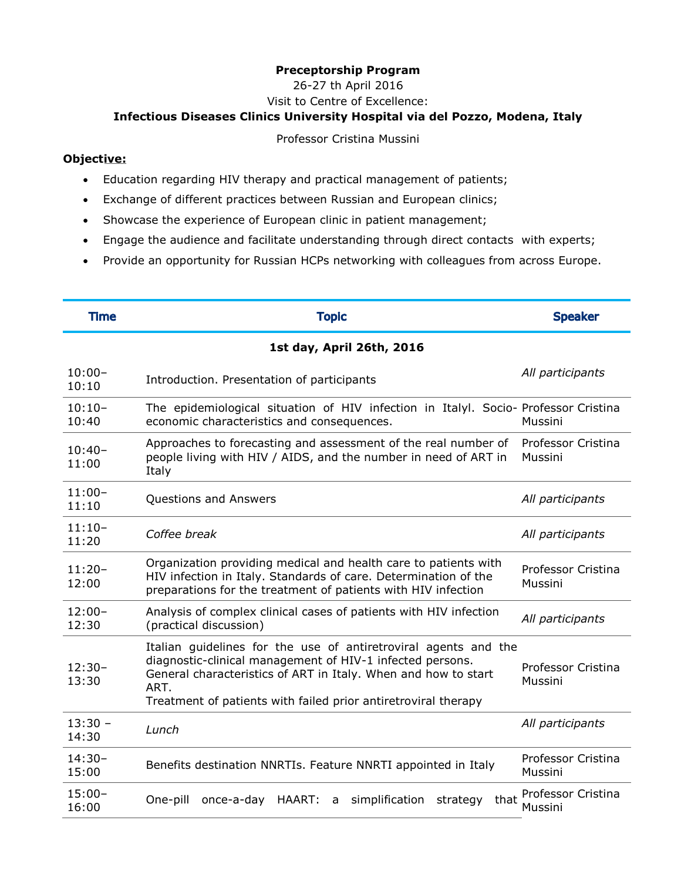## **Preceptorship Program**

26-27 th April 2016

Visit to Centre of Excellence:

## **Infectious Diseases Clinics University Hospital via del Pozzo, Modena, Italy**

Professor Cristina Mussini

## **Objective:**

- Education regarding HIV therapy and practical management of patients;
- Exchange of different practices between Russian and European clinics;
- Showcase the experience of European clinic in patient management;
- Engage the audience and facilitate understanding through direct contacts with experts;
- Provide an opportunity for Russian HCPs networking with colleagues from across Europe.

| <b>Time</b>               | <b>Topic</b>                                                                                                                                                                                                                                                             | <b>Speaker</b>                |  |
|---------------------------|--------------------------------------------------------------------------------------------------------------------------------------------------------------------------------------------------------------------------------------------------------------------------|-------------------------------|--|
| 1st day, April 26th, 2016 |                                                                                                                                                                                                                                                                          |                               |  |
| $10:00 -$<br>10:10        | Introduction. Presentation of participants                                                                                                                                                                                                                               | All participants              |  |
| $10:10-$<br>10:40         | The epidemiological situation of HIV infection in Italyl. Socio- Professor Cristina<br>economic characteristics and consequences.                                                                                                                                        | Mussini                       |  |
| $10:40-$<br>11:00         | Approaches to forecasting and assessment of the real number of<br>people living with HIV / AIDS, and the number in need of ART in<br>Italy                                                                                                                               | Professor Cristina<br>Mussini |  |
| $11:00-$<br>11:10         | Questions and Answers                                                                                                                                                                                                                                                    | All participants              |  |
| $11:10-$<br>11:20         | Coffee break                                                                                                                                                                                                                                                             | All participants              |  |
| $11:20-$<br>12:00         | Organization providing medical and health care to patients with<br>HIV infection in Italy. Standards of care. Determination of the<br>preparations for the treatment of patients with HIV infection                                                                      | Professor Cristina<br>Mussini |  |
| $12:00-$<br>12:30         | Analysis of complex clinical cases of patients with HIV infection<br>(practical discussion)                                                                                                                                                                              | All participants              |  |
| $12:30-$<br>13:30         | Italian guidelines for the use of antiretroviral agents and the<br>diagnostic-clinical management of HIV-1 infected persons.<br>General characteristics of ART in Italy. When and how to start<br>ART.<br>Treatment of patients with failed prior antiretroviral therapy | Professor Cristina<br>Mussini |  |
| $13:30 -$<br>14:30        | Lunch                                                                                                                                                                                                                                                                    | All participants              |  |
| $14:30-$<br>15:00         | Benefits destination NNRTIs. Feature NNRTI appointed in Italy                                                                                                                                                                                                            | Professor Cristina<br>Mussini |  |
| $15:00-$<br>16:00         | simplification<br>One-pill<br>once-a-day HAART:<br>strategy<br>that<br>a                                                                                                                                                                                                 | Professor Cristina<br>Mussini |  |